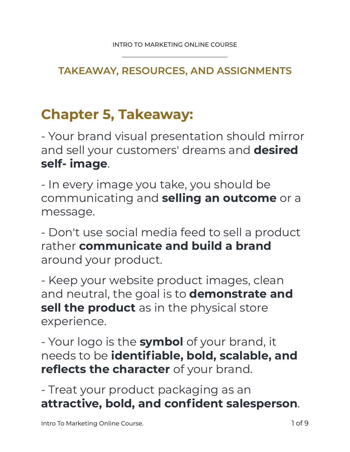## **TAKEAWAY, RESOURCES, AND ASSIGNMENTS**

# **Chapter 5, Takeaway:**

- Your brand visual presentation should mirror and sell your customers' dreams and **desired self- image**.

- In every image you take, you should be communicating and **selling an outcome** or a message.

- Don't use social media feed to sell a product rather **communicate and build a brand**  around your product.

- Keep your website product images, clean and neutral, the goal is to **demonstrate and sell the product** as in the physical store experience.

- Your logo is the **symbol** of your brand, it needs to be **identifiable, bold, scalable, and reflects the character** of your brand.

- Treat your product packaging as an **attractive, bold, and confident salesperson**.

Intro To Marketing Online Course. 1 of 9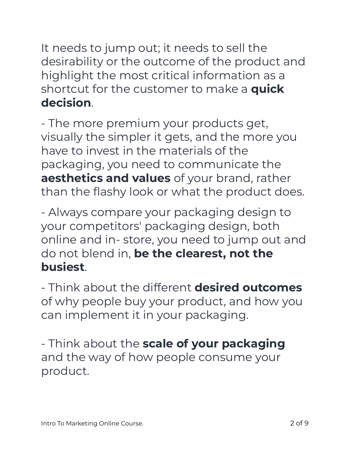It needs to jump out; it needs to sell the desirability or the outcome of the product and highlight the most critical information as a shortcut for the customer to make a **quick decision**.

- The more premium your products get, visually the simpler it gets, and the more you have to invest in the materials of the packaging, you need to communicate the **aesthetics and values** of your brand, rather than the flashy look or what the product does.

- Always compare your packaging design to your competitors' packaging design, both online and in- store, you need to jump out and do not blend in, **be the clearest, not the busiest**.

- Think about the different **desired outcomes**  of why people buy your product, and how you can implement it in your packaging.

- Think about the **scale of your packaging**  and the way of how people consume your product.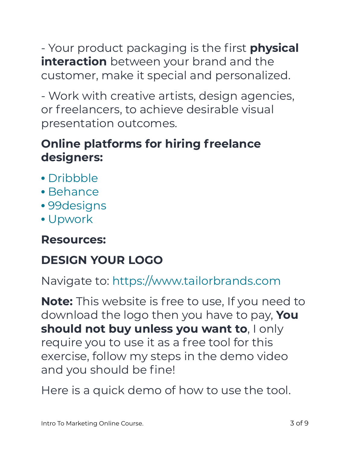- Your product packaging is the first **physical interaction** between your brand and the customer, make it special and personalized.

- Work with creative artists, design agencies, or freelancers, to achieve desirable visual presentation outcomes.

# **Online platforms for hiring freelance designers:**

- Dribbble
- Behance
- 99designs
- Upwork

## **Resources:**

# **DESIGN YOUR LOGO**

Navigate to: https://www.tailorbrands.com

**Note:** This website is free to use, If you need to download the logo then you have to pay, **You should not buy unless you want to**, I only require you to use it as a free tool for this exercise, follow my steps in the demo video and you should be fine!

Here is a quick demo of how to use the tool.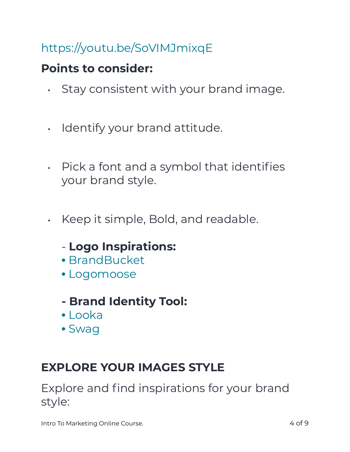# https://youtu.be/SoVIMJmixqE

## **Points to consider:**

- Stay consistent with your brand image.
- Identify your brand attitude.
- Pick a font and a symbol that identifies your brand style.
- Keep it simple, Bold, and readable.
	- **Logo Inspirations:**
	- BrandBucket
	- Logomoose
	- **Brand Identity Tool:**
	- Looka
	- Swag

## **EXPLORE YOUR IMAGES STYLE**

Explore and find inspirations for your brand style:

Intro To Marketing Online Course. And the state of 9 and 10 minutes of 9 and 10 minutes of 9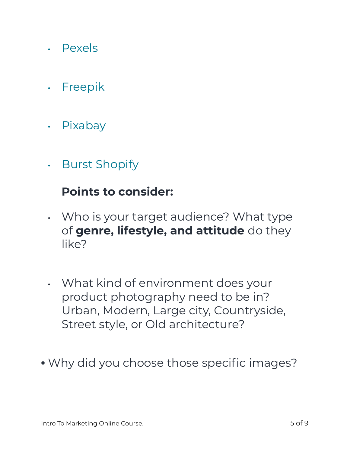- Pexels
- Freepik
- Pixabay
- Burst Shopify

#### **Points to consider:**

- Who is your target audience? What type of **genre, lifestyle, and attitude** do they like?
- What kind of environment does your product photography need to be in? Urban, Modern, Large city, Countryside, Street style, or Old architecture?
- Why did you choose those specific images?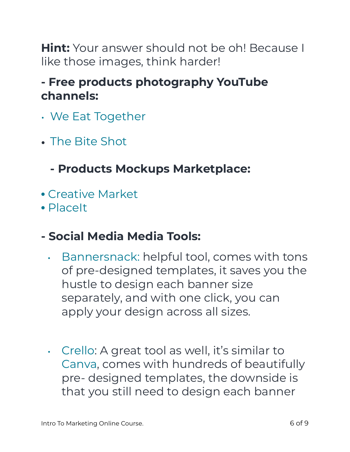**Hint:** Your answer should not be oh! Because I like those images, think harder!

## **- Free products photography YouTube channels:**

- We Eat Together
- **•** The Bite Shot

**- Products Mockups Marketplace:** 

- Creative Market
- PlaceIt

## **- Social Media Media Tools:**

- Bannersnack: helpful tool, comes with tons of pre-designed templates, it saves you the hustle to design each banner size separately, and with one click, you can apply your design across all sizes.
- Crello: A great tool as well, it's similar to Canva, comes with hundreds of beautifully pre- designed templates, the downside is that you still need to design each banner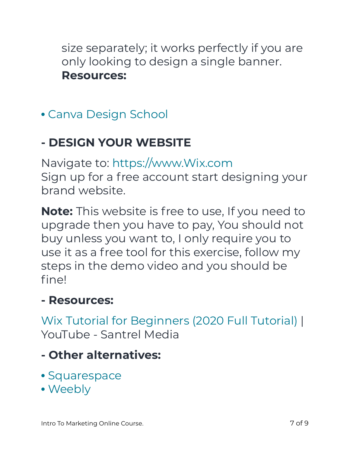size separately; it works perfectly if you are only looking to design a single banner. **Resources:** 

• Canva Design School

# **- DESIGN YOUR WEBSITE**

Navigate to: https://www.Wix.com Sign up for a free account start designing your brand website.

**Note:** This website is free to use, If you need to upgrade then you have to pay, You should not buy unless you want to, I only require you to use it as a free tool for this exercise, follow my steps in the demo video and you should be fine!

## **- Resources:**

Wix Tutorial for Beginners (2020 Full Tutorial) | YouTube - Santrel Media

- **Other alternatives:**
- Squarespace
- Weebly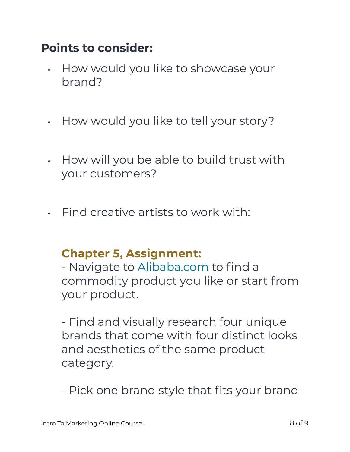## **Points to consider:**

- How would you like to showcase your brand?
- How would you like to tell your story?
- How will you be able to build trust with your customers?
- Find creative artists to work with:

## **Chapter 5, Assignment:**

- Navigate to Alibaba.com to find a commodity product you like or start from your product.

- Find and visually research four unique brands that come with four distinct looks and aesthetics of the same product category.

- Pick one brand style that fits your brand